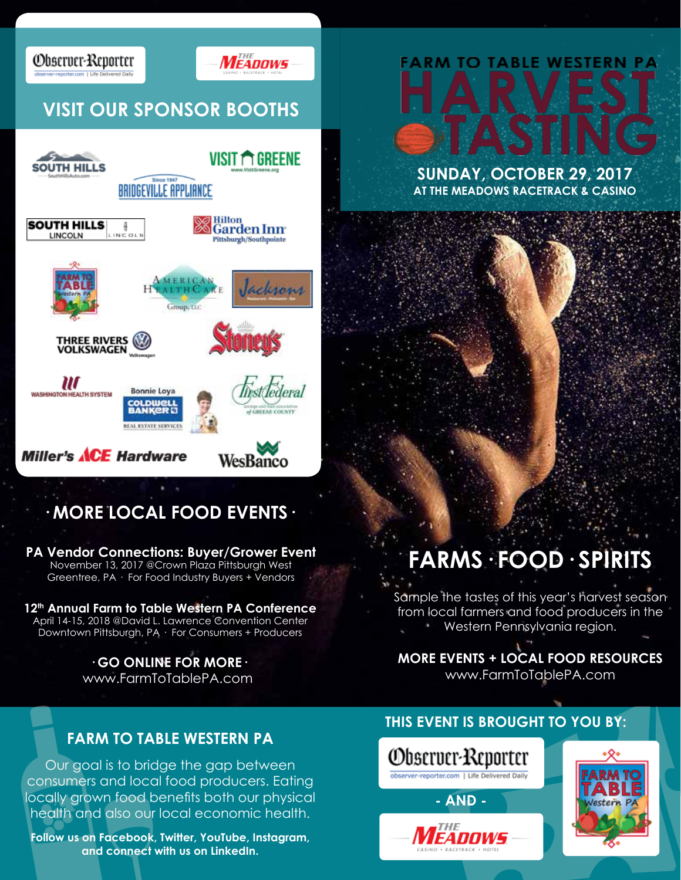

## **VISIT OUR SPONSOR BOOTHS**

Observer-Reporter



### **· MORE LOCAL FOOD EVENTS·**

**PA Vendor Connections: Buyer/Grower Event** November 13, 2017 @Crown Plaza Pittsburgh West Greentree, PA · For Food Industry Buyers + Vendors

#### **12th Annual Farm to Table Western PA Conference**  April 14-15, 2018 @David L. Lawrence Convention Center Downtown Pittsburgh, PA · For Consumers + Producers

**· GO ONLINE FOR MORE·**  www.FarmToTablePA.com

### **FARM TO TABLE WESTERN PA**

Our goal is to bridge the gap between consumers and local food producers. Eating locally grown food benefits both our physical health and also our local economic health.

**Follow us on Facebook, Twitter, YouTube, Instagram, and connect with us on LinkedIn.**

# FARM TO TABLE WESTERN P

**SUNDAY, OCTOBER 29, 2017 AT THE MEADOWS RACETRACK & CASINO**

## **FARMS· FOOD· SPIRITS**

Sample the tastes of this year's harvest season from local farmers and food producers in the Western Pennsylvania region.

**MORE EVENTS + LOCAL FOOD RESOURCES** www.FarmToTablePA.com

### **THIS EVENT IS BROUGHT TO YOU BY:**